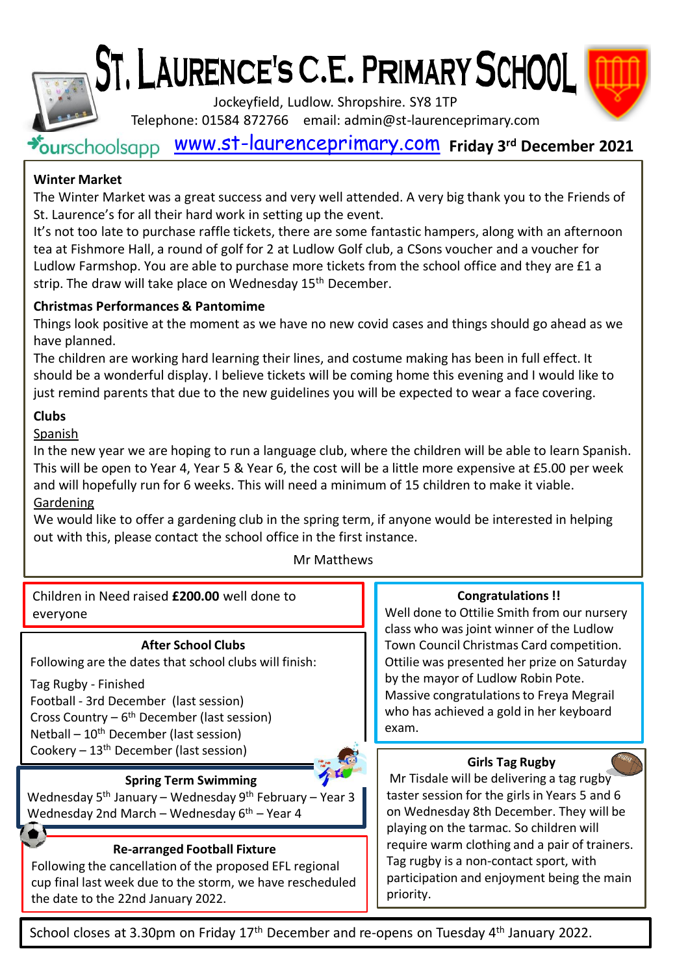ST. LAURENCE'S C.E. PRIMARY SCHOOL

Jockeyfield, Ludlow. Shropshire. SY8 1TP



[www.st-laurenceprimary.com](http://www.st-laurenceprimary.com/) **Friday 3rd December 2021** Telephone: 01584 872766 email: admin@st-laurenceprimary.com

# **Winter Market**

The Winter Market was a great success and very well attended. A very big thank you to the Friends of St. Laurence's for all their hard work in setting up the event.

It's not too late to purchase raffle tickets, there are some fantastic hampers, along with an afternoon tea at Fishmore Hall, a round of golf for 2 at Ludlow Golf club, a CSons voucher and a voucher for Ludlow Farmshop. You are able to purchase more tickets from the school office and they are £1 a strip. The draw will take place on Wednesday 15<sup>th</sup> December.

# **Christmas Performances & Pantomime**

Things look positive at the moment as we have no new covid cases and things should go ahead as we have planned.

The children are working hard learning their lines, and costume making has been in full effect. It should be a wonderful display. I believe tickets will be coming home this evening and I would like to just remind parents that due to the new guidelines you will be expected to wear a face covering.

# **Clubs**

Spanish

In the new year we are hoping to run a language club, where the children will be able to learn Spanish. This will be open to Year 4, Year 5 & Year 6, the cost will be a little more expensive at £5.00 per week and will hopefully run for 6 weeks. This will need a minimum of 15 children to make it viable. Gardening

We would like to offer a gardening club in the spring term, if anyone would be interested in helping out with this, please contact the school office in the first instance.

# Mr Matthews

Children in Need raised **£200.00** well done to everyone

## **After School Clubs**

Following are the dates that school clubs will finish:

Tag Rugby - Finished Football - 3rd December (last session) Cross Country – 6<sup>th</sup> December (last session) Netball – 10th December (last session) Cookery – 13th December (last session)



**Spring Term Swimming**

Wednesday 5<sup>th</sup> January – Wednesday 9<sup>th</sup> February – Year 3 Wednesday 2nd March – Wednesday  $6<sup>th</sup>$  – Year 4

## **Re-arranged Football Fixture**

Following the cancellation of the proposed EFL regional cup final last week due to the storm, we have rescheduled the date to the 22nd January 2022.

#### **Congratulations !!**

Well done to Ottilie Smith from our nursery class who was joint winner of the Ludlow Town Council Christmas Card competition. Ottilie was presented her prize on Saturday by the mayor of Ludlow Robin Pote. Massive congratulations to Freya Megrail who has achieved a gold in her keyboard exam.

## **Girls Tag Rugby**

Mr Tisdale will be delivering a tag rugby taster session for the girls in Years 5 and 6 on Wednesday 8th December. They will be playing on the tarmac. So children will require warm clothing and a pair of trainers. Tag rugby is a non-contact sport, with participation and enjoyment being the main priority.

School closes at 3.30pm on Friday 17<sup>th</sup> December and re-opens on Tuesday 4<sup>th</sup> January 2022.